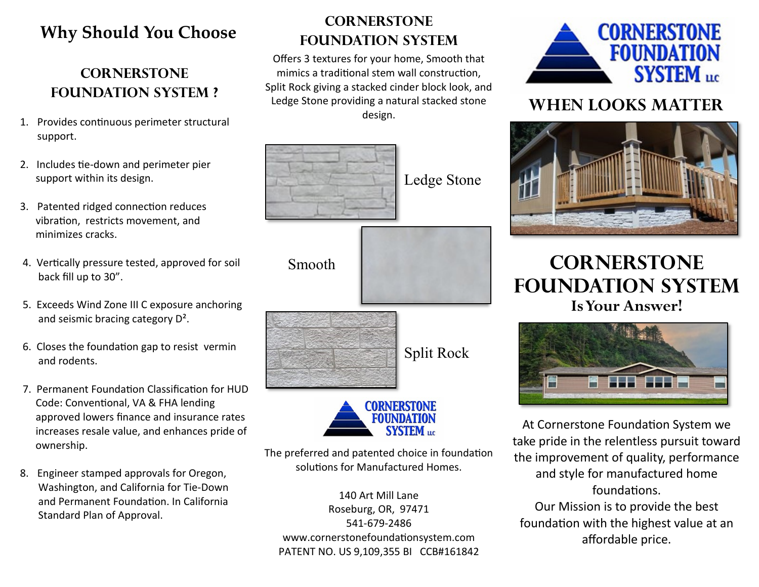## **Why Should You Choose**

#### **Cornerstone FOUNDATION SYSTEM ?**

- 1. Provides continuous perimeter structural support.
- 2. Includes tie-down and perimeter pier support within its design.
- 3. Patented ridged connection reduces vibration, restricts movement, and minimizes cracks.
- 4. Vertically pressure tested, approved for soil back fill up to 30".
- 5. Exceeds Wind Zone III C exposure anchoring and seismic bracing category D².
- 6. Closes the foundation gap to resist vermin and rodents.
- 7. Permanent Foundation Classification for HUD Code: Conventional, VA & FHA lending approved lowers finance and insurance rates increases resale value, and enhances pride of ownership.
- 8. Engineer stamped approvals for Oregon, Washington, and California for Tie-Down and Permanent Foundation. In California Standard Plan of Approval.

#### **Cornerstone FOUNDATION SYSTEM**

Offers 3 textures for your home, Smooth that mimics a traditional stem wall construction, Split Rock giving a stacked cinder block look, and Ledge Stone providing a natural stacked stone design.



The preferred and patented choice in foundation solutions for Manufactured Homes.

140 Art Mill Lane Roseburg, OR, 97471 541-679-2486 www.cornerstonefoundationsystem.com PATENT NO. US 9,109,355 BI CCB#161842



### **WHEN LOOKS MATTER**



## **Cornerstone Foundation System Is Your Answer!**



At Cornerstone Foundation System we take pride in the relentless pursuit toward the improvement of quality, performance and style for manufactured home foundations. Our Mission is to provide the best foundation with the highest value at an affordable price.